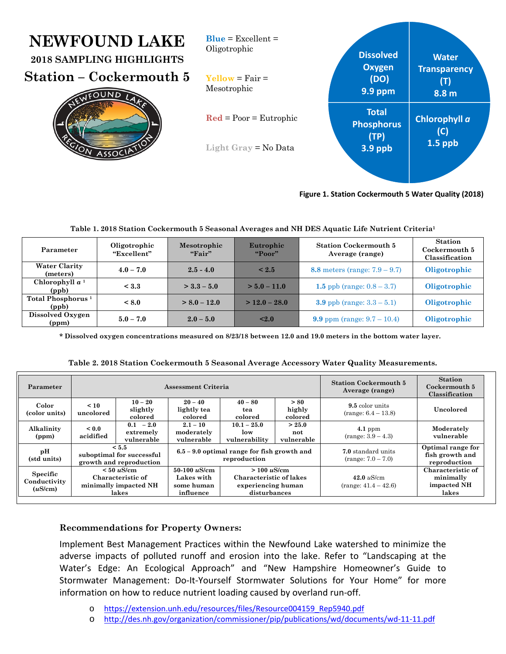| <b>NEWFOUND LAKE</b><br>2018 SAMPLING HIGHLIGHTS<br><b>Station – Cockermouth 5</b> | $Blue = Excellent =$<br>Oligotrophic<br>$Yellow = Fair =$               | <b>Dissolved</b><br><b>Oxygen</b><br>(DO)              | <b>Water</b><br><b>Transparency</b> |
|------------------------------------------------------------------------------------|-------------------------------------------------------------------------|--------------------------------------------------------|-------------------------------------|
| FOUND                                                                              | Mesotrophic                                                             | <b>9.9 ppm</b>                                         | (T)<br>8.8 m                        |
| SOC                                                                                | $\text{Red} = \text{Poor} = \text{Eutrophic}$<br>Light Gray $=$ No Data | <b>Total</b><br><b>Phosphorus</b><br>(TP)<br>$3.9$ ppb | Chlorophyll a<br>(C)<br>$1.5$ ppb   |

**Figure 1. Station Cockermouth 5 Water Quality (2018)**

| Parameter                              | Oligotrophic<br>"Excellent" | Mesotrophic<br>"First" | Eutrophic<br>"Poor" | <b>Station Cockermouth 5</b><br>Average (range) | <b>Station</b><br>Cockermouth 5<br>Classification |
|----------------------------------------|-----------------------------|------------------------|---------------------|-------------------------------------------------|---------------------------------------------------|
| <b>Water Clarity</b><br>(meters)       | $4.0 - 7.0$                 | $2.5 - 4.0$            | $\leq 2.5$          | 8.8 meters (range: $7.9 - 9.7$ )                | Oligotrophic                                      |
| Chlorophyll $a1$<br>(ppb)              | < 3.3                       | $>$ 3.3 – 5.0          | $> 5.0 - 11.0$      | 1.5 ppb (range: $0.8 - 3.7$ )                   | Oligotrophic                                      |
| Total Phosphorus <sup>1</sup><br>(ppb) | < 8.0                       | $> 8.0 - 12.0$         | $>$ 12.0 – 28.0     | <b>3.9</b> ppb (range: $3.3 - 5.1$ )            | Oligotrophic                                      |
| Dissolved Oxygen<br>(ppm)              | $5.0 - 7.0$                 | $2.0 - 5.0$            | < 2.0               | 9.9 ppm (range: $9.7 - 10.4$ )                  | Oligotrophic                                      |

### **Table 1. 2018 Station Cockermouth 5 Seasonal Averages and NH DES Aquatic Life Nutrient Criteria1**

**\* Dissolved oxygen concentrations measured on 8/23/18 between 12.0 and 19.0 meters in the bottom water layer.** 

|  |  |  |  | Table 2. 2018 Station Cockermouth 5 Seasonal Average Accessory Water Quality Measurements. |
|--|--|--|--|--------------------------------------------------------------------------------------------|
|  |  |  |  |                                                                                            |

| Parameter                           | Assessment Criteria                                                    |                                        |                                                               |                                                                                   |                                            | <b>Station Cockermouth 5</b><br>Average (range)      | <b>Station</b><br>Cockermouth 5<br>Classification      |
|-------------------------------------|------------------------------------------------------------------------|----------------------------------------|---------------------------------------------------------------|-----------------------------------------------------------------------------------|--------------------------------------------|------------------------------------------------------|--------------------------------------------------------|
| Color<br>(color units)              | $\leq 10$<br>uncolored                                                 | $10 - 20$<br>slightly<br>colored       | $20 - 40$<br>lightly tea<br>colored                           | $40 - 80$<br>tea<br>colored                                                       | > 80<br>highly<br>colored                  | 9.5 color units<br>$(range: 6.4 - 13.8)$             | Uncolored                                              |
| Alkalinity<br>(ppm)                 | ${}_{0.0}$<br>acidified                                                | $0.1 - 2.0$<br>extremely<br>vulnerable | $2.1 - 10$<br>moderately<br>vulnerable                        | $10.1 - 25.0$<br>low<br>vulnerability                                             | > 25.0<br>not<br>vulnerable                | $4.1$ ppm<br>$(range: 3.9 - 4.3)$                    | Moderately<br>vulnerable                               |
| pН<br>(std units)                   | < 5.5<br>suboptimal for successful<br>growth and reproduction          |                                        | $6.5 - 9.0$ optimal range for fish growth and<br>reproduction |                                                                                   | 7.0 standard units<br>$(range: 7.0 - 7.0)$ | Optimal range for<br>fish growth and<br>reproduction |                                                        |
| Specific<br>Conductivity<br>(uS/cm) | $< 50 \mu$ S/cm<br>Characteristic of<br>minimally impacted NH<br>lakes |                                        | $50-100 \; \mu$ S/cm<br>Lakes with<br>some human<br>influence | $> 100 \mu$ S/cm<br>Characteristic of lakes<br>experiencing human<br>disturbances |                                            | 42.0 $\mu$ S/cm<br>$(range: 41.4 - 42.6)$            | Characteristic of<br>minimally<br>impacted NH<br>lakes |

# **Recommendations for Property Owners:**

Implement Best Management Practices within the Newfound Lake watershed to minimize the adverse impacts of polluted runoff and erosion into the lake. Refer to "Landscaping at the Water's Edge: An Ecological Approach" and "New Hampshire Homeowner's Guide to Stormwater Management: Do-It-Yourself Stormwater Solutions for Your Home" for more information on how to reduce nutrient loading caused by overland run‐off.

- o https://extension.unh.edu/resources/files/Resource004159\_Rep5940.pdf
- o http://des.nh.gov/organization/commissioner/pip/publications/wd/documents/wd‐11‐11.pdf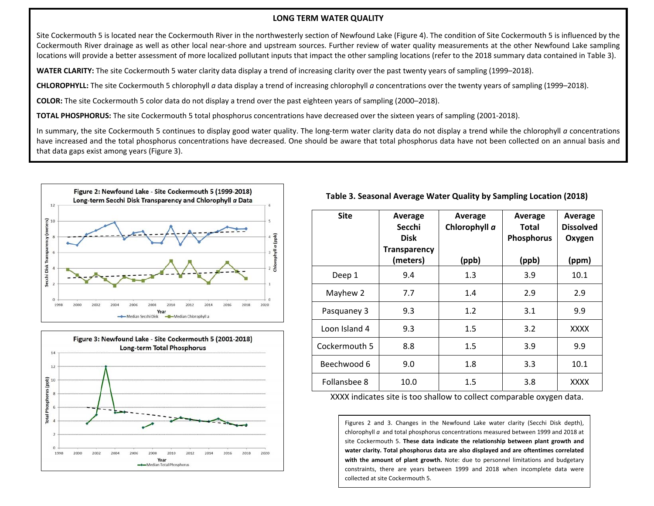#### **LONG TERM WATER QUALITY**

Site Cockermouth 5 is located near the Cockermouth River in the northwesterly section of Newfound Lake (Figure 4). The condition of Site Cockermouth 5 is influenced by the Cockermouth River drainage as well as other local near‐shore and upstream sources. Further review of water quality measurements at the other Newfound Lake sampling locations will provide <sup>a</sup> better assessment of more localized pollutant inputs that impact the other sampling locations (refer to the 2018 summary data contained in Table 3).

**WATER CLARITY:** The site Cockermouth 5 water clarity data display <sup>a</sup> trend of increasing clarity over the past twenty years of sampling (1999–2018).

**CHLOROPHYLL:** The site Cockermouth 5 chlorophyll *<sup>a</sup>* data display <sup>a</sup> trend of increasing chlorophyll *<sup>a</sup>* concentrations over the twenty years of sampling (1999–2018).

**COLOR:** The site Cockermouth 5 color data do not display <sup>a</sup> trend over the past eighteen years of sampling (2000–2018).

**TOTAL PHOSPHORUS:** The site Cockermouth 5 total phosphorus concentrations have decreased over the sixteen years of sampling (2001‐2018).

In summary, the site Cockermouth 5 continues to display good water quality. The long-term water clarity data do not display a trend while the chlorophyll *a* concentrations have increased and the total phosphorus concentrations have decreased. One should be aware that total phosphorus data have not been collected on an annual basis and that data gaps exist among years (Figure 3).





## **Table 3. Seasonal Average Water Quality by Sampling Location (2018)**

| <b>Site</b>   | Average<br>Secchi<br><b>Disk</b><br><b>Transparency</b> | Average<br>Chlorophyll a | Average<br>Total<br><b>Phosphorus</b> | Average<br><b>Dissolved</b><br>Oxygen |
|---------------|---------------------------------------------------------|--------------------------|---------------------------------------|---------------------------------------|
|               | (meters)                                                | (ppb)                    | (ppb)                                 | (ppm)                                 |
| Deep 1        | 9.4                                                     | 1.3                      | 3.9                                   | 10.1                                  |
| Mayhew 2      | 7.7                                                     | 1.4                      | 2.9                                   | 2.9                                   |
| Pasquaney 3   | 9.3                                                     | 1.2                      | 3.1                                   | 9.9                                   |
| Loon Island 4 | 9.3                                                     | 1.5                      | 3.2                                   | XXXX                                  |
| Cockermouth 5 | 8.8                                                     | 1.5                      | 3.9                                   | 9.9                                   |
| Beechwood 6   | 9.0                                                     | 1.8                      | 3.3                                   | 10.1                                  |
| Follansbee 8  | 10.0                                                    | 1.5                      | 3.8                                   | <b>XXXX</b>                           |

XXXX indicates site is too shallow to collect comparable oxygen data.

Figures 2 and 3. Changes in the Newfound Lake water clarity (Secchi Disk depth), chlorophyll *<sup>a</sup>* and total phosphorus concentrations measured between 1999 and 2018 at site Cockermouth 5. **These data indicate the relationship between plant growth and water clarity. Total phosphorus data are also displayed and are oftentimes correlated with the amount of plant growth.** Note: due to personnel limitations and budgetary constraints, there are years between 1999 and 2018 when incomplete data were collected at site Cockermouth 5.